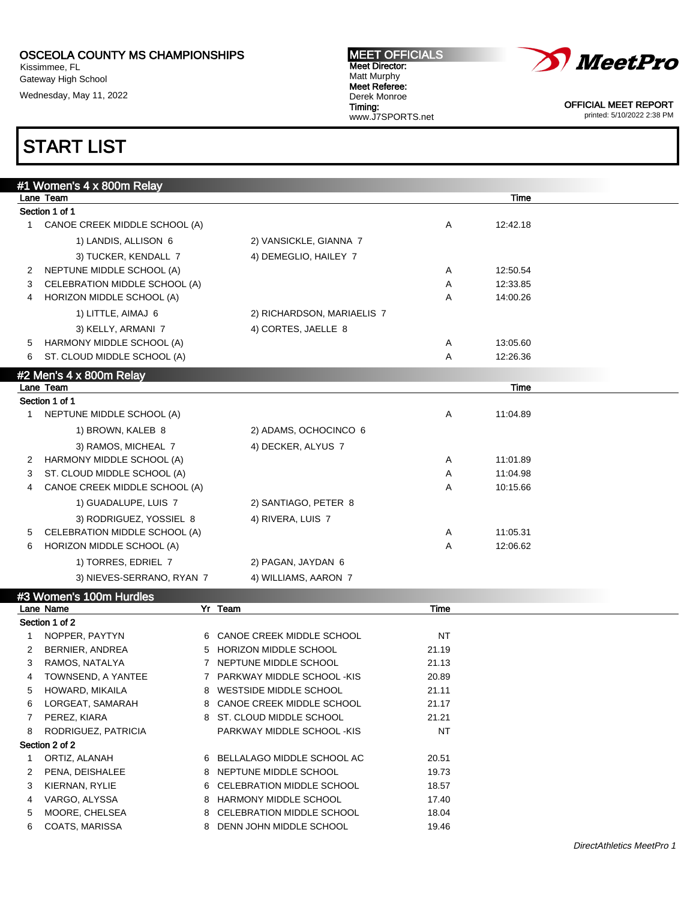Kissimmee, FL Gateway High School Wednesday, May 11, 2022

#### MEET OFFICIALS Meet Director: Matt Murphy Meet Referee: Derek Monroe Timing: www.J7SPORTS.net



OFFICIAL MEET REPORT printed: 5/10/2022 2:38 PM

## START LIST

| Lane Team<br>Time<br>Section 1 of 1<br>CANOE CREEK MIDDLE SCHOOL (A)<br>12:42.18<br>Α<br>1.<br>1) LANDIS, ALLISON 6<br>2) VANSICKLE, GIANNA 7<br>4) DEMEGLIO, HAILEY 7<br>3) TUCKER, KENDALL 7<br>NEPTUNE MIDDLE SCHOOL (A)<br>12:50.54<br>Α<br>2<br>12:33.85<br>CELEBRATION MIDDLE SCHOOL (A)<br>Α<br>3<br>HORIZON MIDDLE SCHOOL (A)<br>Α<br>14:00.26<br>4 |
|-------------------------------------------------------------------------------------------------------------------------------------------------------------------------------------------------------------------------------------------------------------------------------------------------------------------------------------------------------------|
|                                                                                                                                                                                                                                                                                                                                                             |
|                                                                                                                                                                                                                                                                                                                                                             |
|                                                                                                                                                                                                                                                                                                                                                             |
|                                                                                                                                                                                                                                                                                                                                                             |
|                                                                                                                                                                                                                                                                                                                                                             |
|                                                                                                                                                                                                                                                                                                                                                             |
|                                                                                                                                                                                                                                                                                                                                                             |
|                                                                                                                                                                                                                                                                                                                                                             |
| 1) LITTLE, AIMAJ 6<br>2) RICHARDSON, MARIAELIS 7                                                                                                                                                                                                                                                                                                            |
| 4) CORTES, JAELLE 8<br>3) KELLY, ARMANI 7                                                                                                                                                                                                                                                                                                                   |
| HARMONY MIDDLE SCHOOL (A)<br>Α<br>13:05.60<br>5                                                                                                                                                                                                                                                                                                             |
| ST. CLOUD MIDDLE SCHOOL (A)<br>Α<br>12:26.36<br>6                                                                                                                                                                                                                                                                                                           |
| #2 Men's 4 x 800m Relay                                                                                                                                                                                                                                                                                                                                     |
| Lane Team<br>Time                                                                                                                                                                                                                                                                                                                                           |
| Section 1 of 1                                                                                                                                                                                                                                                                                                                                              |
| NEPTUNE MIDDLE SCHOOL (A)<br>Α<br>11:04.89<br>1                                                                                                                                                                                                                                                                                                             |
| 2) ADAMS, OCHOCINCO 6<br>1) BROWN, KALEB 8                                                                                                                                                                                                                                                                                                                  |
| 3) RAMOS, MICHEAL 7<br>4) DECKER, ALYUS 7                                                                                                                                                                                                                                                                                                                   |
| HARMONY MIDDLE SCHOOL (A)<br>11:01.89<br>Α<br>2                                                                                                                                                                                                                                                                                                             |
| 11:04.98<br>ST. CLOUD MIDDLE SCHOOL (A)<br>Α<br>3                                                                                                                                                                                                                                                                                                           |
| Α<br>CANOE CREEK MIDDLE SCHOOL (A)<br>10:15.66<br>4                                                                                                                                                                                                                                                                                                         |
| 1) GUADALUPE, LUIS 7<br>2) SANTIAGO, PETER 8                                                                                                                                                                                                                                                                                                                |
| 3) RODRIGUEZ, YOSSIEL 8<br>4) RIVERA, LUIS 7                                                                                                                                                                                                                                                                                                                |
| CELEBRATION MIDDLE SCHOOL (A)<br>11:05.31<br>Α<br>5                                                                                                                                                                                                                                                                                                         |
| 12:06.62<br>HORIZON MIDDLE SCHOOL (A)<br>Α<br>6                                                                                                                                                                                                                                                                                                             |
| 1) TORRES, EDRIEL 7<br>2) PAGAN, JAYDAN 6                                                                                                                                                                                                                                                                                                                   |
| 3) NIEVES-SERRANO, RYAN 7<br>4) WILLIAMS, AARON 7                                                                                                                                                                                                                                                                                                           |
| #3 Women's 100m Hurdles                                                                                                                                                                                                                                                                                                                                     |
| Yr Team<br>Lane Name<br>Time                                                                                                                                                                                                                                                                                                                                |
| Section 1 of 2                                                                                                                                                                                                                                                                                                                                              |
| CANOE CREEK MIDDLE SCHOOL<br>NT<br>NOPPER, PAYTYN<br>1<br>6.                                                                                                                                                                                                                                                                                                |
| 5 HORIZON MIDDLE SCHOOL<br>2<br>BERNIER, ANDREA<br>21.19                                                                                                                                                                                                                                                                                                    |
| RAMOS, NATALYA<br>7 NEPTUNE MIDDLE SCHOOL<br>3<br>21.13                                                                                                                                                                                                                                                                                                     |
| TOWNSEND, A YANTEE<br>7 PARKWAY MIDDLE SCHOOL -KIS<br>20.89<br>4                                                                                                                                                                                                                                                                                            |
| HOWARD, MIKAILA<br>8 WESTSIDE MIDDLE SCHOOL<br>21.11<br>5                                                                                                                                                                                                                                                                                                   |
| LORGEAT, SAMARAH<br>CANOE CREEK MIDDLE SCHOOL<br>21.17<br>6<br>8                                                                                                                                                                                                                                                                                            |
| PEREZ, KIARA<br>8 ST. CLOUD MIDDLE SCHOOL<br>21.21<br>7                                                                                                                                                                                                                                                                                                     |
| <b>NT</b><br>RODRIGUEZ, PATRICIA<br>PARKWAY MIDDLE SCHOOL -KIS<br>8<br>Section 2 of 2                                                                                                                                                                                                                                                                       |
| ORTIZ, ALANAH<br>6 BELLALAGO MIDDLE SCHOOL AC<br>20.51<br>1                                                                                                                                                                                                                                                                                                 |
| PENA, DEISHALEE<br>NEPTUNE MIDDLE SCHOOL<br>19.73<br>2<br>8                                                                                                                                                                                                                                                                                                 |
| KIERNAN, RYLIE<br>CELEBRATION MIDDLE SCHOOL<br>3<br>18.57<br>6                                                                                                                                                                                                                                                                                              |
| VARGO, ALYSSA<br>HARMONY MIDDLE SCHOOL<br>17.40<br>4<br>8                                                                                                                                                                                                                                                                                                   |

5 MOORE, CHELSEA 8 CELEBRATION MIDDLE SCHOOL 18.04

6 COATS, MARISSA 8 DENN JOHN MIDDLE SCHOOL 19.46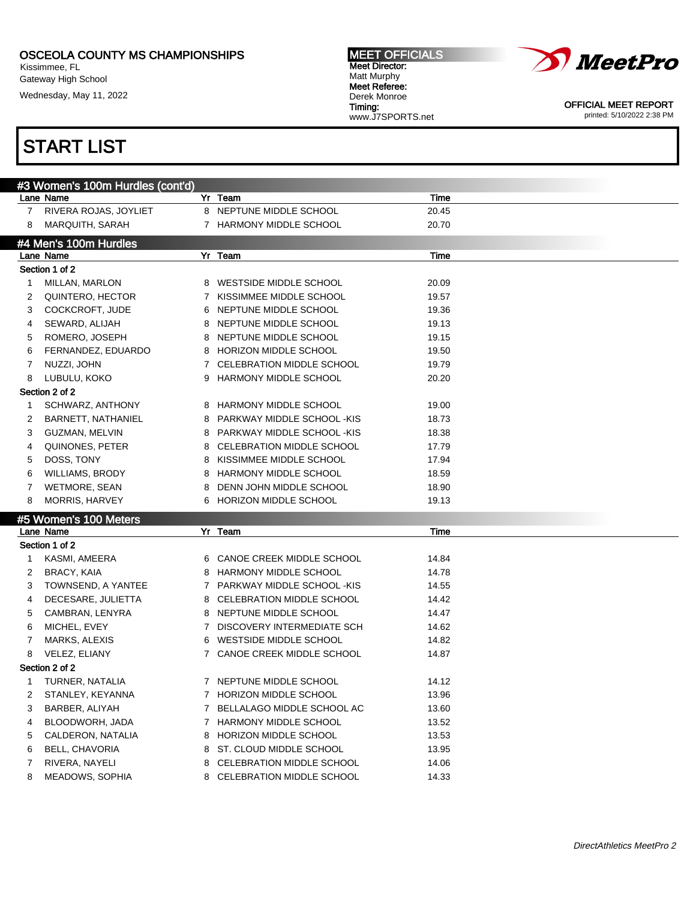Kissimmee, FL Gateway High School

Wednesday, May 11, 2022

## START LIST

| <b>MEET OFFICIALS</b> |
|-----------------------|
| Meet Director:        |
| Matt Murphy           |
| Meet Referee:         |
| Derek Monroe          |
| Timing:               |
| www.J7SPORTS.net      |



OFFICIAL MEET REPORT printed: 5/10/2022 2:38 PM

|             | #3 Women's 100m Hurdles (cont'd)         |             |                                  |       |
|-------------|------------------------------------------|-------------|----------------------------------|-------|
|             | Lane Name                                |             | Yr Team                          | Time  |
| $7^{\circ}$ | RIVERA ROJAS, JOYLIET                    |             | 8 NEPTUNE MIDDLE SCHOOL          | 20.45 |
| 8           | <b>MARQUITH, SARAH</b>                   |             | 7 HARMONY MIDDLE SCHOOL          | 20.70 |
|             | #4 Men's 100m Hurdles                    |             |                                  |       |
|             | Lane Name                                |             | Yr Team                          | Time  |
|             | Section 1 of 2                           |             |                                  |       |
| 1           | MILLAN, MARLON                           | 8           | WESTSIDE MIDDLE SCHOOL           | 20.09 |
| 2           | QUINTERO, HECTOR                         | 7           | KISSIMMEE MIDDLE SCHOOL          | 19.57 |
| 3           | COCKCROFT, JUDE                          | 6           | NEPTUNE MIDDLE SCHOOL            | 19.36 |
| 4           | SEWARD, ALIJAH                           | 8           | NEPTUNE MIDDLE SCHOOL            | 19.13 |
| 5           | ROMERO, JOSEPH                           | 8           | NEPTUNE MIDDLE SCHOOL            | 19.15 |
| 6           | FERNANDEZ, EDUARDO                       | 8           | HORIZON MIDDLE SCHOOL            | 19.50 |
| 7           | NUZZI, JOHN                              | 7           | CELEBRATION MIDDLE SCHOOL        | 19.79 |
| 8           | LUBULU, KOKO                             | 9           | <b>HARMONY MIDDLE SCHOOL</b>     | 20.20 |
|             | Section 2 of 2                           |             |                                  |       |
| 1           | SCHWARZ, ANTHONY                         | 8           | <b>HARMONY MIDDLE SCHOOL</b>     | 19.00 |
| 2           | BARNETT, NATHANIEL                       | 8           | PARKWAY MIDDLE SCHOOL -KIS       | 18.73 |
| 3           | <b>GUZMAN, MELVIN</b>                    | 8           | PARKWAY MIDDLE SCHOOL -KIS       | 18.38 |
| 4           | QUINONES, PETER                          | 8           | <b>CELEBRATION MIDDLE SCHOOL</b> | 17.79 |
| 5           | DOSS, TONY                               | 8           | KISSIMMEE MIDDLE SCHOOL          | 17.94 |
| 6           | <b>WILLIAMS, BRODY</b>                   | 8           | <b>HARMONY MIDDLE SCHOOL</b>     | 18.59 |
| 7           | WETMORE, SEAN                            | 8           | DENN JOHN MIDDLE SCHOOL          | 18.90 |
| 8           | <b>MORRIS, HARVEY</b>                    | 6           | <b>HORIZON MIDDLE SCHOOL</b>     | 19.13 |
|             |                                          |             |                                  |       |
|             | #5 Women's 100 Meters<br>Lane Name       |             | Yr Team                          | Time  |
|             | Section 1 of 2                           |             |                                  |       |
| $\mathbf 1$ | KASMI, AMEERA                            | 6           | CANOE CREEK MIDDLE SCHOOL        | 14.84 |
| 2           | BRACY, KAIA                              | 8           | HARMONY MIDDLE SCHOOL            | 14.78 |
| 3           |                                          |             | 7 PARKWAY MIDDLE SCHOOL -KIS     | 14.55 |
| 4           | TOWNSEND, A YANTEE<br>DECESARE, JULIETTA | 8           | CELEBRATION MIDDLE SCHOOL        | 14.42 |
| 5           | CAMBRAN, LENYRA                          | 8           | NEPTUNE MIDDLE SCHOOL            | 14.47 |
| 6           | MICHEL, EVEY                             | $7^{\circ}$ | DISCOVERY INTERMEDIATE SCH       | 14.62 |
| 7           | MARKS, ALEXIS                            |             | 6 WESTSIDE MIDDLE SCHOOL         | 14.82 |
|             | VELEZ, ELIANY                            |             | 7 CANOE CREEK MIDDLE SCHOOL      | 14.87 |
| 8           |                                          |             |                                  |       |
|             | Section 2 of 2                           |             | 7 NEPTUNE MIDDLE SCHOOL          |       |
|             | 1 TURNER, NATALIA                        |             |                                  | 14.12 |
| 2           | STANLEY, KEYANNA                         |             | 7 HORIZON MIDDLE SCHOOL          | 13.96 |
| 3           | BARBER, ALIYAH                           | 7           | BELLALAGO MIDDLE SCHOOL AC       | 13.60 |
| 4           | BLOODWORH, JADA                          | 7           | HARMONY MIDDLE SCHOOL            | 13.52 |
| 5           | CALDERON, NATALIA                        | 8           | HORIZON MIDDLE SCHOOL            | 13.53 |
| 6           | <b>BELL, CHAVORIA</b>                    | 8           | ST. CLOUD MIDDLE SCHOOL          | 13.95 |
| 7           | RIVERA, NAYELI                           | 8           | CELEBRATION MIDDLE SCHOOL        | 14.06 |
| 8           | MEADOWS, SOPHIA                          |             | 8 CELEBRATION MIDDLE SCHOOL      | 14.33 |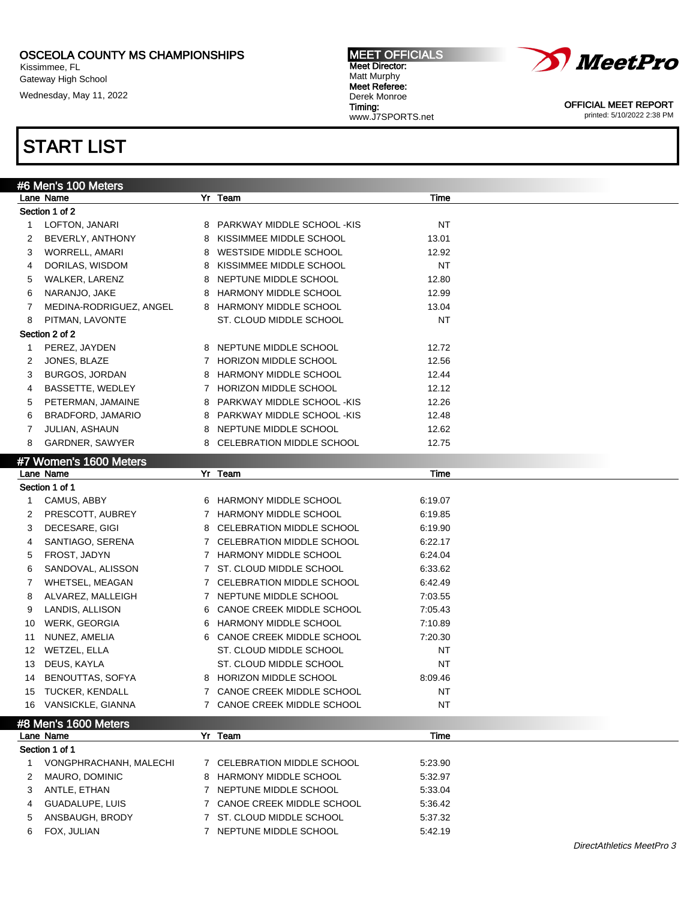Kissimmee, FL Gateway High School

Wednesday, May 11, 2022

#### MEET OFFICIALS Meet Director: Matt Murphy Meet Referee: Derek Monroe Timing: www.J7SPORTS.net



OFFICIAL MEET REPORT printed: 5/10/2022 2:38 PM

|    | #6 Men's 100 Meters     |   |                             |           |  |
|----|-------------------------|---|-----------------------------|-----------|--|
|    | Lane Name               |   | Yr Team                     | Time      |  |
|    | Section 1 of 2          |   |                             |           |  |
| 1  | LOFTON, JANARI          | 8 | PARKWAY MIDDLE SCHOOL -KIS  | <b>NT</b> |  |
| 2  | BEVERLY, ANTHONY        | 8 | KISSIMMEE MIDDLE SCHOOL     | 13.01     |  |
| 3  | WORRELL, AMARI          | 8 | WESTSIDE MIDDLE SCHOOL      | 12.92     |  |
| 4  | DORILAS, WISDOM         | 8 | KISSIMMEE MIDDLE SCHOOL     | NT        |  |
| 5  | WALKER, LARENZ          |   | 8 NEPTUNE MIDDLE SCHOOL     | 12.80     |  |
| 6  | NARANJO, JAKE           | 8 | HARMONY MIDDLE SCHOOL       | 12.99     |  |
| 7  | MEDINA-RODRIGUEZ, ANGEL |   | 8 HARMONY MIDDLE SCHOOL     | 13.04     |  |
| 8  | PITMAN, LAVONTE         |   | ST. CLOUD MIDDLE SCHOOL     | ΝT        |  |
|    | Section 2 of 2          |   |                             |           |  |
| 1  | PEREZ, JAYDEN           |   | 8 NEPTUNE MIDDLE SCHOOL     | 12.72     |  |
| 2  | JONES, BLAZE            |   | 7 HORIZON MIDDLE SCHOOL     | 12.56     |  |
| 3  | BURGOS, JORDAN          |   | 8 HARMONY MIDDLE SCHOOL     | 12.44     |  |
| 4  | BASSETTE, WEDLEY        |   | 7 HORIZON MIDDLE SCHOOL     | 12.12     |  |
| 5  | PETERMAN, JAMAINE       | 8 | PARKWAY MIDDLE SCHOOL - KIS | 12.26     |  |
| 6  | BRADFORD, JAMARIO       | 8 | PARKWAY MIDDLE SCHOOL -KIS  | 12.48     |  |
|    |                         |   |                             |           |  |
| 7  | <b>JULIAN, ASHAUN</b>   |   | 8 NEPTUNE MIDDLE SCHOOL     | 12.62     |  |
| 8  | GARDNER, SAWYER         |   | 8 CELEBRATION MIDDLE SCHOOL | 12.75     |  |
|    | #7 Women's 1600 Meters  |   |                             |           |  |
|    | Lane Name               |   | Yr Team                     | Time      |  |
|    | Section 1 of 1          |   |                             |           |  |
| 1  | CAMUS, ABBY             |   | 6 HARMONY MIDDLE SCHOOL     | 6:19.07   |  |
| 2  | PRESCOTT, AUBREY        |   | 7 HARMONY MIDDLE SCHOOL     | 6:19.85   |  |
| 3  | DECESARE, GIGI          |   | 8 CELEBRATION MIDDLE SCHOOL | 6:19.90   |  |
| 4  | SANTIAGO, SERENA        |   | 7 CELEBRATION MIDDLE SCHOOL | 6:22.17   |  |
| 5  | FROST, JADYN            |   | 7 HARMONY MIDDLE SCHOOL     | 6:24.04   |  |
| 6  | SANDOVAL, ALISSON       |   | 7 ST. CLOUD MIDDLE SCHOOL   | 6:33.62   |  |
| 7  | WHETSEL, MEAGAN         |   | 7 CELEBRATION MIDDLE SCHOOL | 6:42.49   |  |
| 8  | ALVAREZ, MALLEIGH       |   | 7 NEPTUNE MIDDLE SCHOOL     | 7:03.55   |  |
| 9  | LANDIS, ALLISON         |   | 6 CANOE CREEK MIDDLE SCHOOL | 7:05.43   |  |
| 10 | WERK, GEORGIA           | 6 | HARMONY MIDDLE SCHOOL       | 7:10.89   |  |
| 11 | NUNEZ, AMELIA           |   | 6 CANOE CREEK MIDDLE SCHOOL | 7:20.30   |  |
| 12 | WETZEL, ELLA            |   | ST. CLOUD MIDDLE SCHOOL     | <b>NT</b> |  |
| 13 | DEUS, KAYLA             |   | ST. CLOUD MIDDLE SCHOOL     | <b>NT</b> |  |
| 14 | BENOUTTAS, SOFYA        |   | 8 HORIZON MIDDLE SCHOOL     | 8:09.46   |  |
|    | 15 TUCKER, KENDALL      |   | 7 CANOE CREEK MIDDLE SCHOOL | <b>NT</b> |  |
|    | 16 VANSICKLE, GIANNA    |   |                             |           |  |
|    |                         |   | 7 CANOE CREEK MIDDLE SCHOOL | <b>NT</b> |  |
|    | #8 Men's 1600 Meters    |   |                             |           |  |
|    | Lane Name               |   | Yr Team                     | Time      |  |
|    | Section 1 of 1          |   |                             |           |  |
| 1  | VONGPHRACHANH, MALECHI  |   | 7 CELEBRATION MIDDLE SCHOOL | 5:23.90   |  |
| 2  | MAURO, DOMINIC          |   | 8 HARMONY MIDDLE SCHOOL     | 5:32.97   |  |
| 3  | ANTLE, ETHAN            |   | 7 NEPTUNE MIDDLE SCHOOL     | 5:33.04   |  |
| 4  | GUADALUPE, LUIS         |   | 7 CANOE CREEK MIDDLE SCHOOL | 5:36.42   |  |
| 5  | ANSBAUGH, BRODY         |   | 7 ST. CLOUD MIDDLE SCHOOL   | 5.37.32   |  |
| 6  | FOX, JULIAN             |   | 7 NEPTUNE MIDDLE SCHOOL     | 5:42.19   |  |
|    |                         |   |                             |           |  |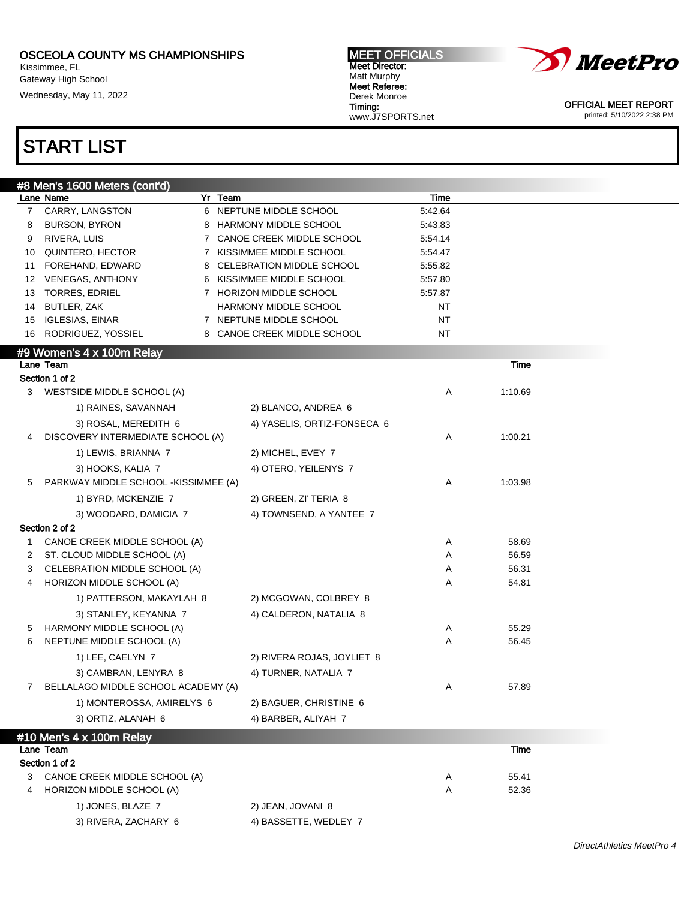Kissimmee, FL Gateway High School Wednesday, May 11, 2022

START LIST

#### MEET OFFICIALS Meet Director: Matt Murphy Meet Referee: Derek Monroe Timing: www.J7SPORTS.net



OFFICIAL MEET REPORT printed: 5/10/2022 2:38 PM

|                | #8 Men's 1600 Meters (cont'd)        |                             |         |                |  |
|----------------|--------------------------------------|-----------------------------|---------|----------------|--|
|                | Lane Name                            | Yr Team                     | Time    |                |  |
| $\overline{7}$ | CARRY, LANGSTON                      | 6 NEPTUNE MIDDLE SCHOOL     | 5.42.64 |                |  |
| 8              | <b>BURSON, BYRON</b>                 | 8 HARMONY MIDDLE SCHOOL     | 5:43.83 |                |  |
| 9              | RIVERA, LUIS                         | 7 CANOE CREEK MIDDLE SCHOOL | 5:54.14 |                |  |
| 10             | QUINTERO, HECTOR                     | 7 KISSIMMEE MIDDLE SCHOOL   | 5:54.47 |                |  |
| 11             | FOREHAND, EDWARD                     | 8 CELEBRATION MIDDLE SCHOOL | 5:55.82 |                |  |
|                | 12 VENEGAS, ANTHONY                  | 6 KISSIMMEE MIDDLE SCHOOL   | 5:57.80 |                |  |
| 13             | TORRES, EDRIEL                       | 7 HORIZON MIDDLE SCHOOL     | 5:57.87 |                |  |
| 14             | BUTLER, ZAK                          | HARMONY MIDDLE SCHOOL       | NT      |                |  |
| 15             | <b>IGLESIAS, EINAR</b>               | 7 NEPTUNE MIDDLE SCHOOL     | NT      |                |  |
| 16             | RODRIGUEZ, YOSSIEL                   | 8 CANOE CREEK MIDDLE SCHOOL | NT      |                |  |
|                | #9 Women's 4 x 100m Relay            |                             |         |                |  |
|                | Lane Team                            |                             |         | Time           |  |
|                | Section 1 of 2                       |                             |         |                |  |
| 3              | WESTSIDE MIDDLE SCHOOL (A)           |                             | Α       | 1:10.69        |  |
|                | 1) RAINES, SAVANNAH                  | 2) BLANCO, ANDREA 6         |         |                |  |
|                | 3) ROSAL, MEREDITH 6                 | 4) YASELIS, ORTIZ-FONSECA 6 |         |                |  |
| 4              | DISCOVERY INTERMEDIATE SCHOOL (A)    |                             | Α       | 1:00.21        |  |
|                | 1) LEWIS, BRIANNA 7                  | 2) MICHEL, EVEY 7           |         |                |  |
|                | 3) HOOKS, KALIA 7                    | 4) OTERO, YEILENYS 7        |         |                |  |
| 5              | PARKWAY MIDDLE SCHOOL -KISSIMMEE (A) |                             | Α       | 1:03.98        |  |
|                | 1) BYRD, MCKENZIE 7                  |                             |         |                |  |
|                |                                      | 2) GREEN, ZI' TERIA 8       |         |                |  |
|                | 3) WOODARD, DAMICIA 7                | 4) TOWNSEND, A YANTEE 7     |         |                |  |
|                | Section 2 of 2                       |                             |         |                |  |
| 1              | CANOE CREEK MIDDLE SCHOOL (A)        |                             | Α       | 58.69          |  |
| 2              | ST. CLOUD MIDDLE SCHOOL (A)          |                             | Α       | 56.59          |  |
| 3<br>4         | CELEBRATION MIDDLE SCHOOL (A)        |                             | Α       | 56.31<br>54.81 |  |
|                | HORIZON MIDDLE SCHOOL (A)            |                             | Α       |                |  |
|                | 1) PATTERSON, MAKAYLAH 8             | 2) MCGOWAN, COLBREY 8       |         |                |  |
|                | 3) STANLEY, KEYANNA 7                | 4) CALDERON, NATALIA 8      |         |                |  |
| 5              | HARMONY MIDDLE SCHOOL (A)            |                             | Α       | 55.29          |  |
| 6              | NEPTUNE MIDDLE SCHOOL (A)            |                             | Α       | 56.45          |  |
|                | 1) LEE, CAELYN 7                     | 2) RIVERA ROJAS, JOYLIET 8  |         |                |  |
|                | 3) CAMBRAN, LENYRA 8                 | 4) TURNER, NATALIA 7        |         |                |  |
|                | BELLALAGO MIDDLE SCHOOL ACADEMY (A)  |                             | Α       | 57.89          |  |
|                | 1) MONTEROSSA, AMIRELYS 6            | 2) BAGUER, CHRISTINE 6      |         |                |  |
|                | 3) ORTIZ, ALANAH 6                   | 4) BARBER, ALIYAH 7         |         |                |  |
|                | #10 Men's 4 x 100m Relay             |                             |         |                |  |
|                | Lane Team                            |                             |         | Time           |  |
|                | Section 1 of 2                       |                             |         |                |  |
| 3              | CANOE CREEK MIDDLE SCHOOL (A)        |                             | A       | 55.41          |  |
| 4              | HORIZON MIDDLE SCHOOL (A)            |                             | Α       | 52.36          |  |
|                | 1) JONES, BLAZE 7                    | 2) JEAN, JOVANI 8           |         |                |  |
|                | 3) RIVERA, ZACHARY 6                 | 4) BASSETTE, WEDLEY 7       |         |                |  |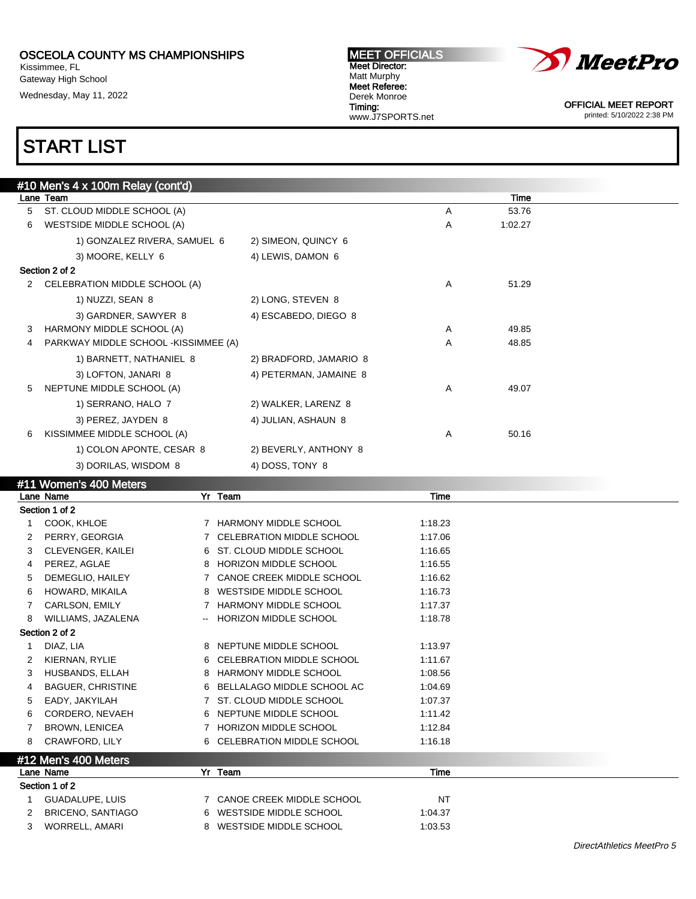Kissimmee, FL Gateway High School

Wednesday, May 11, 2022

#### MEET OFFICIALS Meet Director: Matt Murphy Meet Referee: Derek Monroe Timing: www.J7SPORTS.net



OFFICIAL MEET REPORT printed: 5/10/2022 2:38 PM

## START LIST

|   | #10 Men's 4 x 100m Relay (cont'd)              |         |                              |         |         |  |
|---|------------------------------------------------|---------|------------------------------|---------|---------|--|
|   | Lane Team                                      |         |                              |         | Time    |  |
| 5 | ST. CLOUD MIDDLE SCHOOL (A)                    |         |                              | Α       | 53.76   |  |
| 6 | WESTSIDE MIDDLE SCHOOL (A)                     |         |                              | Α       | 1:02.27 |  |
|   | 1) GONZALEZ RIVERA, SAMUEL 6                   |         | 2) SIMEON, QUINCY 6          |         |         |  |
|   | 3) MOORE, KELLY 6                              |         | 4) LEWIS, DAMON 6            |         |         |  |
|   | Section 2 of 2                                 |         |                              |         |         |  |
|   | 2 CELEBRATION MIDDLE SCHOOL (A)                |         |                              | Α       | 51.29   |  |
|   | 1) NUZZI, SEAN 8                               |         | 2) LONG, STEVEN 8            |         |         |  |
|   | 3) GARDNER, SAWYER 8                           |         | 4) ESCABEDO, DIEGO 8         |         |         |  |
| 3 | HARMONY MIDDLE SCHOOL (A)                      |         |                              | Α       | 49.85   |  |
| 4 | PARKWAY MIDDLE SCHOOL -KISSIMMEE (A)           |         |                              | A       | 48.85   |  |
|   | 1) BARNETT, NATHANIEL 8                        |         | 2) BRADFORD, JAMARIO 8       |         |         |  |
|   | 3) LOFTON, JANARI 8                            |         | 4) PETERMAN, JAMAINE 8       |         |         |  |
| 5 | NEPTUNE MIDDLE SCHOOL (A)                      |         |                              | Α       | 49.07   |  |
|   | 1) SERRANO, HALO 7                             |         | 2) WALKER, LARENZ 8          |         |         |  |
|   | 3) PEREZ, JAYDEN 8                             |         | 4) JULIAN, ASHAUN 8          |         |         |  |
| 6 | KISSIMMEE MIDDLE SCHOOL (A)                    |         |                              | Α       | 50.16   |  |
|   | 1) COLON APONTE, CESAR 8                       |         | 2) BEVERLY, ANTHONY 8        |         |         |  |
|   | 3) DORILAS, WISDOM 8                           |         | 4) DOSS, TONY 8              |         |         |  |
|   | #11 Women's 400 Meters                         |         |                              |         |         |  |
|   | Lane Name                                      | Yr Team |                              | Time    |         |  |
|   | Section 1 of 2                                 |         |                              |         |         |  |
| 1 | COOK, KHLOE                                    |         | 7 HARMONY MIDDLE SCHOOL      | 1:18.23 |         |  |
| 2 | PERRY, GEORGIA                                 |         | 7 CELEBRATION MIDDLE SCHOOL  | 1:17.06 |         |  |
| 3 | CLEVENGER, KAILEI                              |         | 6 ST. CLOUD MIDDLE SCHOOL    | 1:16.65 |         |  |
| 4 | PEREZ, AGLAE                                   |         | 8 HORIZON MIDDLE SCHOOL      | 1:16.55 |         |  |
| 5 | DEMEGLIO, HAILEY                               |         | 7 CANOE CREEK MIDDLE SCHOOL  | 1:16.62 |         |  |
| 6 | HOWARD, MIKAILA                                |         | 8 WESTSIDE MIDDLE SCHOOL     | 1:16.73 |         |  |
| 7 | CARLSON, EMILY                                 |         | 7 HARMONY MIDDLE SCHOOL      | 1:17.37 |         |  |
| 8 | WILLIAMS, JAZALENA<br>$\overline{\phantom{a}}$ |         | HORIZON MIDDLE SCHOOL        | 1:18.78 |         |  |
|   | Section 2 of 2                                 |         |                              |         |         |  |
| 1 | DIAZ, LIA                                      |         | 8 NEPTUNE MIDDLE SCHOOL      | 1:13.97 |         |  |
| 2 | KIERNAN, RYLIE                                 | 6       | CELEBRATION MIDDLE SCHOOL    | 1:11.67 |         |  |
| 3 | HUSBANDS, ELLAH                                |         | 8 HARMONY MIDDLE SCHOOL      | 1:08.56 |         |  |
| 4 | <b>BAGUER, CHRISTINE</b>                       |         | 6 BELLALAGO MIDDLE SCHOOL AC | 1:04.69 |         |  |
| 5 | EADY, JAKYILAH                                 |         | 7 ST. CLOUD MIDDLE SCHOOL    | 1:07.37 |         |  |
| 6 | CORDERO, NEVAEH                                | 6       | NEPTUNE MIDDLE SCHOOL        | 1:11.42 |         |  |
| 7 | <b>BROWN, LENICEA</b>                          |         | 7 HORIZON MIDDLE SCHOOL      | 1:12.84 |         |  |
| 8 | CRAWFORD, LILY                                 |         | 6 CELEBRATION MIDDLE SCHOOL  | 1:16.18 |         |  |
|   | #12 Men's 400 Meters                           |         |                              |         |         |  |
|   | Lane Name                                      | Yr Team |                              | Time    |         |  |
|   | Section 1 of 2                                 |         |                              |         |         |  |
| 1 | GUADALUPE, LUIS                                |         | 7 CANOE CREEK MIDDLE SCHOOL  | NT      |         |  |
| 2 | <b>BRICENO, SANTIAGO</b>                       |         | 6 WESTSIDE MIDDLE SCHOOL     | 1:04.37 |         |  |

3 WORRELL, AMARI 8 WESTSIDE MIDDLE SCHOOL 1:03.53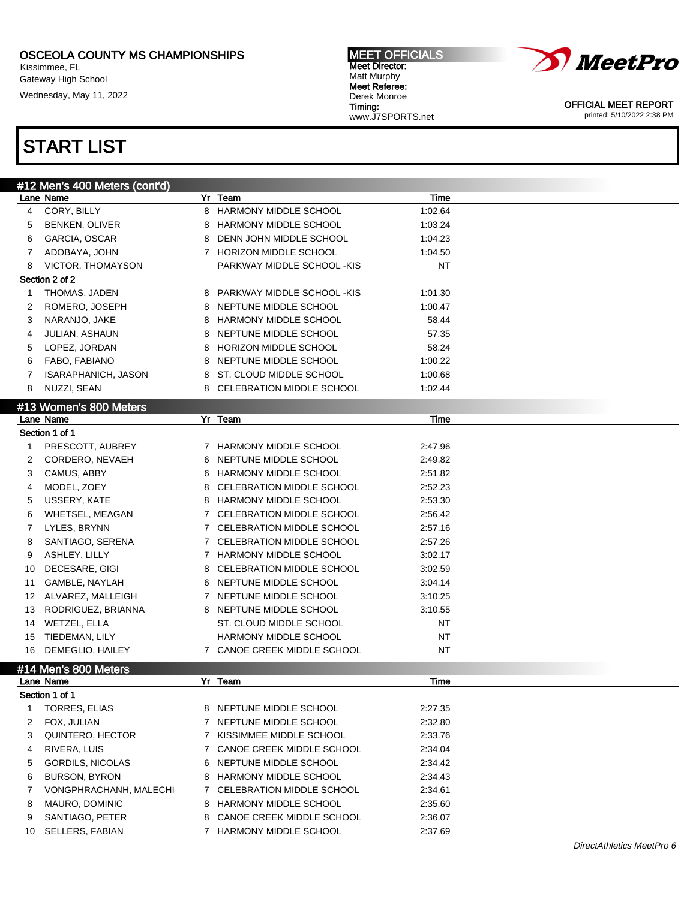Kissimmee, FL Gateway High School

Wednesday, May 11, 2022

#### MEET OFFICIALS Meet Director: Matt Murphy Meet Referee: Derek Monroe Timing: www.J7SPORTS.net



OFFICIAL MEET REPORT printed: 5/10/2022 2:38 PM

| #12 Men's 400 Meters (cont'd) |                            |              |                              |           |  |
|-------------------------------|----------------------------|--------------|------------------------------|-----------|--|
|                               | Lane Name                  |              | Yr Team                      | Time      |  |
| 4                             | CORY, BILLY                | 8            | <b>HARMONY MIDDLE SCHOOL</b> | 1:02.64   |  |
| 5                             | <b>BENKEN, OLIVER</b>      | 8            | <b>HARMONY MIDDLE SCHOOL</b> | 1:03.24   |  |
| 6                             | GARCIA, OSCAR              | 8            | DENN JOHN MIDDLE SCHOOL      | 1:04.23   |  |
| 7                             | ADOBAYA, JOHN              |              | 7 HORIZON MIDDLE SCHOOL      | 1:04.50   |  |
| 8                             | VICTOR, THOMAYSON          |              | PARKWAY MIDDLE SCHOOL -KIS   | NT        |  |
|                               | Section 2 of 2             |              |                              |           |  |
| 1                             | THOMAS, JADEN              |              | 8 PARKWAY MIDDLE SCHOOL -KIS | 1:01.30   |  |
| 2                             | ROMERO, JOSEPH             |              | 8 NEPTUNE MIDDLE SCHOOL      | 1:00.47   |  |
| 3                             | NARANJO, JAKE              | 8            | HARMONY MIDDLE SCHOOL        | 58.44     |  |
| 4                             | JULIAN, ASHAUN             | 8            | NEPTUNE MIDDLE SCHOOL        | 57.35     |  |
| 5                             | LOPEZ, JORDAN              | 8            | HORIZON MIDDLE SCHOOL        | 58.24     |  |
| 6                             | FABO, FABIANO              | 8            | NEPTUNE MIDDLE SCHOOL        | 1:00.22   |  |
| 7                             | <b>ISARAPHANICH, JASON</b> | 8            | ST. CLOUD MIDDLE SCHOOL      | 1:00.68   |  |
| 8                             | NUZZI, SEAN                | 8            | CELEBRATION MIDDLE SCHOOL    | 1:02.44   |  |
|                               | #13 Women's 800 Meters     |              |                              |           |  |
|                               | Lane Name                  |              | Yr Team                      | Time      |  |
|                               | Section 1 of 1             |              |                              |           |  |
| 1                             | PRESCOTT, AUBREY           | 7            | HARMONY MIDDLE SCHOOL        | 2:47.96   |  |
| 2                             | CORDERO, NEVAEH            | 6            | NEPTUNE MIDDLE SCHOOL        | 2:49.82   |  |
| 3                             | CAMUS, ABBY                | 6            | <b>HARMONY MIDDLE SCHOOL</b> | 2:51.82   |  |
| 4                             | MODEL, ZOEY                | 8            | CELEBRATION MIDDLE SCHOOL    | 2:52.23   |  |
| 5                             | USSERY, KATE               | 8            | HARMONY MIDDLE SCHOOL        | 2:53.30   |  |
| 6                             | WHETSEL, MEAGAN            | $\mathbf{7}$ | CELEBRATION MIDDLE SCHOOL    | 2:56.42   |  |
| 7                             | LYLES, BRYNN               | $7^{\circ}$  | CELEBRATION MIDDLE SCHOOL    | 2:57.16   |  |
| 8                             | SANTIAGO, SERENA           | $\mathbf{7}$ | CELEBRATION MIDDLE SCHOOL    | 2:57.26   |  |
| 9                             | ASHLEY, LILLY              |              | 7 HARMONY MIDDLE SCHOOL      | 3:02.17   |  |
| 10                            | DECESARE, GIGI             | 8            | CELEBRATION MIDDLE SCHOOL    | 3:02.59   |  |
| 11                            | GAMBLE, NAYLAH             |              | 6 NEPTUNE MIDDLE SCHOOL      | 3:04.14   |  |
|                               | 12 ALVAREZ, MALLEIGH       |              | 7 NEPTUNE MIDDLE SCHOOL      | 3:10.25   |  |
| 13                            | RODRIGUEZ, BRIANNA         |              | 8 NEPTUNE MIDDLE SCHOOL      | 3:10.55   |  |
| 14                            | WETZEL, ELLA               |              | ST. CLOUD MIDDLE SCHOOL      | NT        |  |
| 15                            | TIEDEMAN, LILY             |              | HARMONY MIDDLE SCHOOL        | NT        |  |
| 16                            | DEMEGLIO, HAILEY           |              | 7 CANOE CREEK MIDDLE SCHOOL  | <b>NT</b> |  |
|                               |                            |              |                              |           |  |
|                               | #14 Men's 800 Meters       |              |                              |           |  |
|                               | Lane Name                  |              | Yr Team                      | Time      |  |
|                               | Section 1 of 1             |              |                              |           |  |
| 1                             | <b>TORRES, ELIAS</b>       |              | 8 NEPTUNE MIDDLE SCHOOL      | 2:27.35   |  |
| 2                             | FOX, JULIAN                |              | 7 NEPTUNE MIDDLE SCHOOL      | 2:32.80   |  |
| 3                             | QUINTERO, HECTOR           | $7^{\circ}$  | KISSIMMEE MIDDLE SCHOOL      | 2:33.76   |  |
| 4                             | RIVERA, LUIS               | $\mathbf{7}$ | CANOE CREEK MIDDLE SCHOOL    | 2:34.04   |  |
| 5                             | <b>GORDILS, NICOLAS</b>    |              | 6 NEPTUNE MIDDLE SCHOOL      | 2:34.42   |  |
| 6                             | <b>BURSON, BYRON</b>       |              | 8 HARMONY MIDDLE SCHOOL      | 2:34.43   |  |
| 7                             | VONGPHRACHANH, MALECHI     |              | 7 CELEBRATION MIDDLE SCHOOL  | 2:34.61   |  |
| 8                             | MAURO, DOMINIC             |              | 8 HARMONY MIDDLE SCHOOL      | 2:35.60   |  |
| 9                             | SANTIAGO, PETER            |              | 8 CANOE CREEK MIDDLE SCHOOL  | 2:36.07   |  |
| 10                            | SELLERS, FABIAN            |              | 7 HARMONY MIDDLE SCHOOL      | 2:37.69   |  |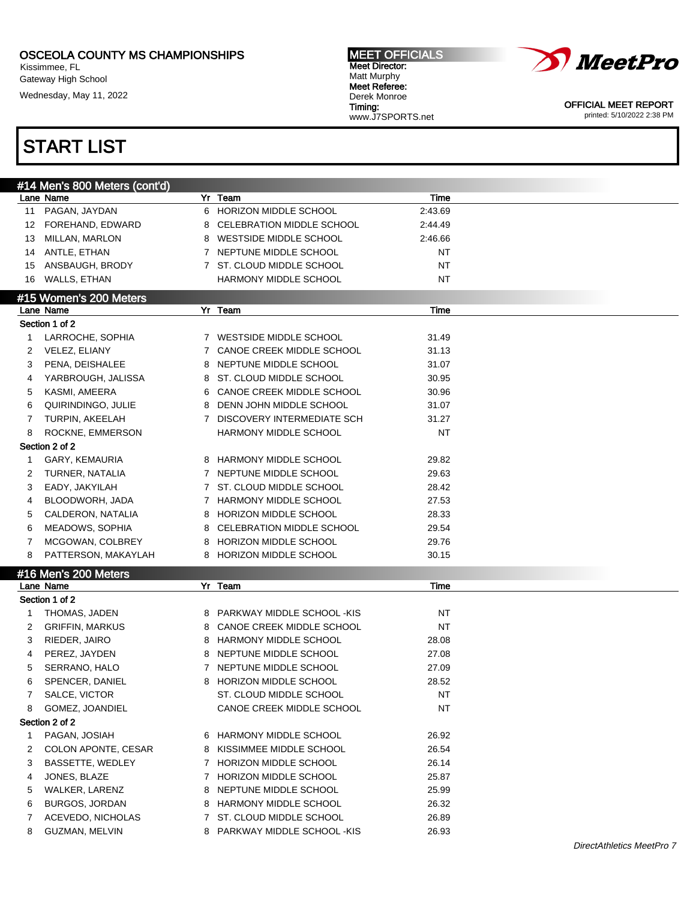Kissimmee, FL Gateway High School

Wednesday, May 11, 2022

#### MEET OFFICIALS Meet Director: Matt Murphy Meet Referee: Derek Monroe Timing: www.J7SPORTS.net



OFFICIAL MEET REPORT printed: 5/10/2022 2:38 PM

|              | #14 Men's 800 Meters (cont'd) |                              |           |  |
|--------------|-------------------------------|------------------------------|-----------|--|
|              | Lane Name                     | Yr Team                      | Time      |  |
|              | 11 PAGAN, JAYDAN              | 6 HORIZON MIDDLE SCHOOL      | 2:43.69   |  |
|              | 12 FOREHAND, EDWARD           | 8 CELEBRATION MIDDLE SCHOOL  | 2:44.49   |  |
| 13           | MILLAN, MARLON                | 8 WESTSIDE MIDDLE SCHOOL     | 2:46.66   |  |
| 14           | ANTLE, ETHAN                  | 7 NEPTUNE MIDDLE SCHOOL      | NT        |  |
| 15           | ANSBAUGH, BRODY               | 7 ST. CLOUD MIDDLE SCHOOL    | NT        |  |
|              | 16 WALLS, ETHAN               | HARMONY MIDDLE SCHOOL        | NT        |  |
|              | #15 Women's 200 Meters        |                              |           |  |
|              | Lane Name                     | Yr Team                      | Time      |  |
|              | Section 1 of 2                |                              |           |  |
| 1            | LARROCHE, SOPHIA              | 7 WESTSIDE MIDDLE SCHOOL     | 31.49     |  |
| 2            | VELEZ, ELIANY                 | 7 CANOE CREEK MIDDLE SCHOOL  | 31.13     |  |
| 3            | PENA, DEISHALEE               | 8 NEPTUNE MIDDLE SCHOOL      | 31.07     |  |
| 4            | YARBROUGH, JALISSA            | 8 ST. CLOUD MIDDLE SCHOOL    | 30.95     |  |
| 5            | KASMI, AMEERA                 | 6 CANOE CREEK MIDDLE SCHOOL  | 30.96     |  |
| 6            | QUIRINDINGO, JULIE            | 8 DENN JOHN MIDDLE SCHOOL    | 31.07     |  |
| 7            | TURPIN, AKEELAH               | 7 DISCOVERY INTERMEDIATE SCH | 31.27     |  |
| 8            | ROCKNE, EMMERSON              | HARMONY MIDDLE SCHOOL        | NT        |  |
|              | Section 2 of 2                |                              |           |  |
| 1            | GARY, KEMAURIA                | 8 HARMONY MIDDLE SCHOOL      | 29.82     |  |
| 2            | TURNER, NATALIA               | 7 NEPTUNE MIDDLE SCHOOL      | 29.63     |  |
| 3            | EADY, JAKYILAH                | 7 ST. CLOUD MIDDLE SCHOOL    | 28.42     |  |
| 4            | BLOODWORH, JADA               | 7 HARMONY MIDDLE SCHOOL      | 27.53     |  |
|              |                               | 8 HORIZON MIDDLE SCHOOL      |           |  |
| 5            | CALDERON, NATALIA             |                              | 28.33     |  |
| 6            | MEADOWS, SOPHIA               | 8 CELEBRATION MIDDLE SCHOOL  | 29.54     |  |
| 7            | MCGOWAN, COLBREY              | 8 HORIZON MIDDLE SCHOOL      | 29.76     |  |
| 8            | PATTERSON, MAKAYLAH           | 8 HORIZON MIDDLE SCHOOL      | 30.15     |  |
|              | #16 Men's 200 Meters          |                              |           |  |
|              | Lane Name                     | Yr Team                      | Time      |  |
|              | Section 1 of 2                |                              |           |  |
| 1            | THOMAS, JADEN                 | 8 PARKWAY MIDDLE SCHOOL -KIS | NT        |  |
| 2            | <b>GRIFFIN, MARKUS</b>        | 8 CANOE CREEK MIDDLE SCHOOL  | NT        |  |
| 3            | RIEDER, JAIRO                 | 8 HARMONY MIDDLE SCHOOL      | 28.08     |  |
| 4            | PEREZ, JAYDEN                 | 8 NEPTUNE MIDDLE SCHOOL      | 27.08     |  |
| 5            | SERRANO, HALO                 | 7 NEPTUNE MIDDLE SCHOOL      | 27.09     |  |
| 6            | SPENCER, DANIEL               | 8 HORIZON MIDDLE SCHOOL      | 28.52     |  |
| 7            | SALCE, VICTOR                 | ST. CLOUD MIDDLE SCHOOL      | NT        |  |
| 8            | GOMEZ, JOANDIEL               | CANOE CREEK MIDDLE SCHOOL    | <b>NT</b> |  |
|              | Section 2 of 2                |                              |           |  |
| $\mathbf{1}$ | PAGAN, JOSIAH                 | 6 HARMONY MIDDLE SCHOOL      | 26.92     |  |
| 2            | COLON APONTE, CESAR           | 8 KISSIMMEE MIDDLE SCHOOL    | 26.54     |  |
| 3            | BASSETTE, WEDLEY              | 7 HORIZON MIDDLE SCHOOL      | 26.14     |  |
| 4            | JONES, BLAZE                  | 7 HORIZON MIDDLE SCHOOL      | 25.87     |  |
| 5            | WALKER, LARENZ                | 8 NEPTUNE MIDDLE SCHOOL      | 25.99     |  |
| 6            | <b>BURGOS, JORDAN</b>         | 8 HARMONY MIDDLE SCHOOL      | 26.32     |  |
| 7            | ACEVEDO, NICHOLAS             | 7 ST. CLOUD MIDDLE SCHOOL    | 26.89     |  |
| 8            | GUZMAN, MELVIN                | 8 PARKWAY MIDDLE SCHOOL -KIS | 26.93     |  |
|              |                               |                              |           |  |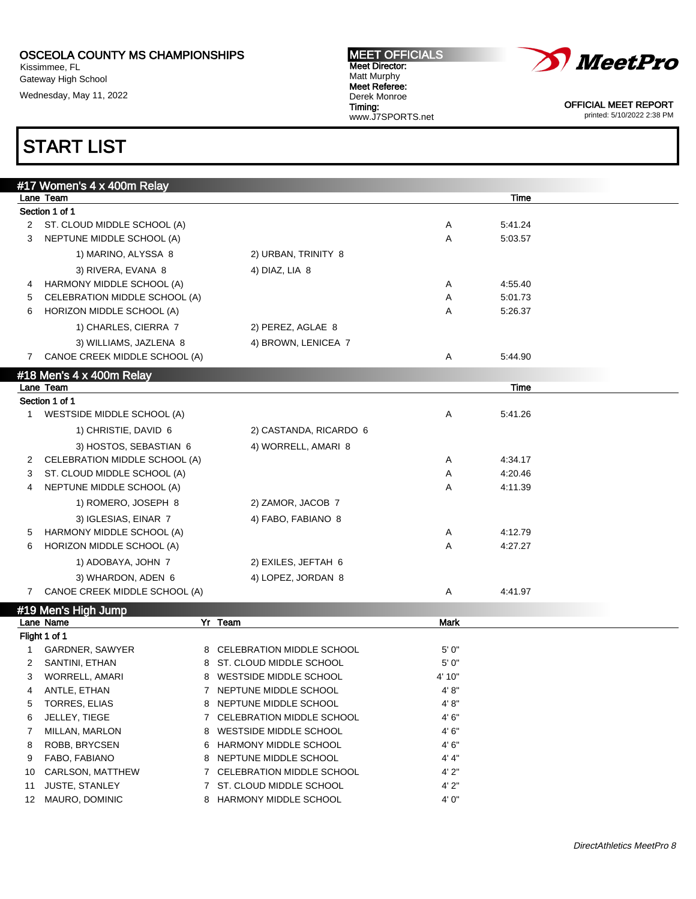Kissimmee, FL Gateway High School Wednesday, May 11, 2022

#### MEET OFFICIALS Meet Director: Matt Murphy Meet Referee: Derek Monroe Timing: www.J7SPORTS.net



OFFICIAL MEET REPORT printed: 5/10/2022 2:38 PM

|                | #17 Women's 4 x 400m Relay    |                        |   |             |  |
|----------------|-------------------------------|------------------------|---|-------------|--|
|                | Lane Team                     |                        |   | <b>Time</b> |  |
|                | Section 1 of 1                |                        |   |             |  |
| $\overline{2}$ | ST. CLOUD MIDDLE SCHOOL (A)   |                        | Α | 5:41.24     |  |
| 3              | NEPTUNE MIDDLE SCHOOL (A)     |                        | A | 5:03.57     |  |
|                | 1) MARINO, ALYSSA 8           | 2) URBAN, TRINITY 8    |   |             |  |
|                | 3) RIVERA, EVANA 8            | 4) DIAZ, LIA 8         |   |             |  |
| 4              | HARMONY MIDDLE SCHOOL (A)     |                        | Α | 4:55.40     |  |
| 5              | CELEBRATION MIDDLE SCHOOL (A) |                        | A | 5:01.73     |  |
| 6              | HORIZON MIDDLE SCHOOL (A)     |                        | A | 5:26.37     |  |
|                | 1) CHARLES, CIERRA 7          | 2) PEREZ, AGLAE 8      |   |             |  |
|                | 3) WILLIAMS, JAZLENA 8        | 4) BROWN, LENICEA 7    |   |             |  |
| 7              | CANOE CREEK MIDDLE SCHOOL (A) |                        | Α | 5:44.90     |  |
|                | #18 Men's 4 x 400m Relay      |                        |   |             |  |
|                | Lane Team                     |                        |   | Time        |  |
|                | Section 1 of 1                |                        |   |             |  |
| 1              | WESTSIDE MIDDLE SCHOOL (A)    |                        | Α | 5:41.26     |  |
|                | 1) CHRISTIE, DAVID 6          | 2) CASTANDA, RICARDO 6 |   |             |  |
|                | 3) HOSTOS, SEBASTIAN 6        | 4) WORRELL, AMARI 8    |   |             |  |
| 2              | CELEBRATION MIDDLE SCHOOL (A) |                        | Α | 4:34.17     |  |
| 3              | ST. CLOUD MIDDLE SCHOOL (A)   |                        | A | 4:20.46     |  |
| 4              | NEPTUNE MIDDLE SCHOOL (A)     |                        | A | 4:11.39     |  |
|                | 1) ROMERO, JOSEPH 8           | 2) ZAMOR, JACOB 7      |   |             |  |
|                | 3) IGLESIAS, EINAR 7          | 4) FABO, FABIANO 8     |   |             |  |
| 5              | HARMONY MIDDLE SCHOOL (A)     |                        | Α | 4:12.79     |  |
| 6              | HORIZON MIDDLE SCHOOL (A)     |                        | A | 4:27.27     |  |
|                | 1) ADOBAYA, JOHN 7            | 2) EXILES, JEFTAH 6    |   |             |  |
|                | 3) WHARDON, ADEN 6            | 4) LOPEZ, JORDAN 8     |   |             |  |
| $7^{\circ}$    | CANOE CREEK MIDDLE SCHOOL (A) |                        | Α | 4:41.97     |  |
|                | #19 Men's High Jump           |                        |   |             |  |

|     | $\frac{1}{2}$ ividity inglived in $\frac{1}{2}$ |    |                              |             |  |
|-----|-------------------------------------------------|----|------------------------------|-------------|--|
|     | Lane Name                                       |    | Yr Team                      | <b>Mark</b> |  |
|     | Flight 1 of 1                                   |    |                              |             |  |
|     | GARDNER, SAWYER                                 |    | 8 CELEBRATION MIDDLE SCHOOL  | 5'0''       |  |
|     | SANTINI, ETHAN                                  |    | 8 ST. CLOUD MIDDLE SCHOOL    | 5'0''       |  |
| 3   | WORRELL, AMARI                                  |    | 8 WESTSIDE MIDDLE SCHOOL     | 4' 10"      |  |
| 4   | ANTLE, ETHAN                                    |    | NEPTUNE MIDDLE SCHOOL        | 4' 8''      |  |
| 5.  | TORRES, ELIAS                                   |    | 8 NEPTUNE MIDDLE SCHOOL      | 4' 8''      |  |
| 6.  | JELLEY, TIEGE                                   |    | 7 CELEBRATION MIDDLE SCHOOL  | 4'6''       |  |
|     | MILLAN, MARLON                                  |    | 8 WESTSIDE MIDDLE SCHOOL     | 4'6''       |  |
| 8   | ROBB, BRYCSEN                                   |    | 6 HARMONY MIDDLE SCHOOL      | 4'6''       |  |
| 9   | FABO, FABIANO                                   |    | 8 NEPTUNE MIDDLE SCHOOL      | 4' 4"       |  |
| 10  | <b>CARLSON, MATTHEW</b>                         |    | 7 CELEBRATION MIDDLE SCHOOL  | 4'2"        |  |
| 11  | <b>JUSTE, STANLEY</b>                           |    | 7 ST. CLOUD MIDDLE SCHOOL    | 4'2"        |  |
| 12. | MAURO, DOMINIC                                  | 8. | <b>HARMONY MIDDLE SCHOOL</b> | 4'0''       |  |
|     |                                                 |    |                              |             |  |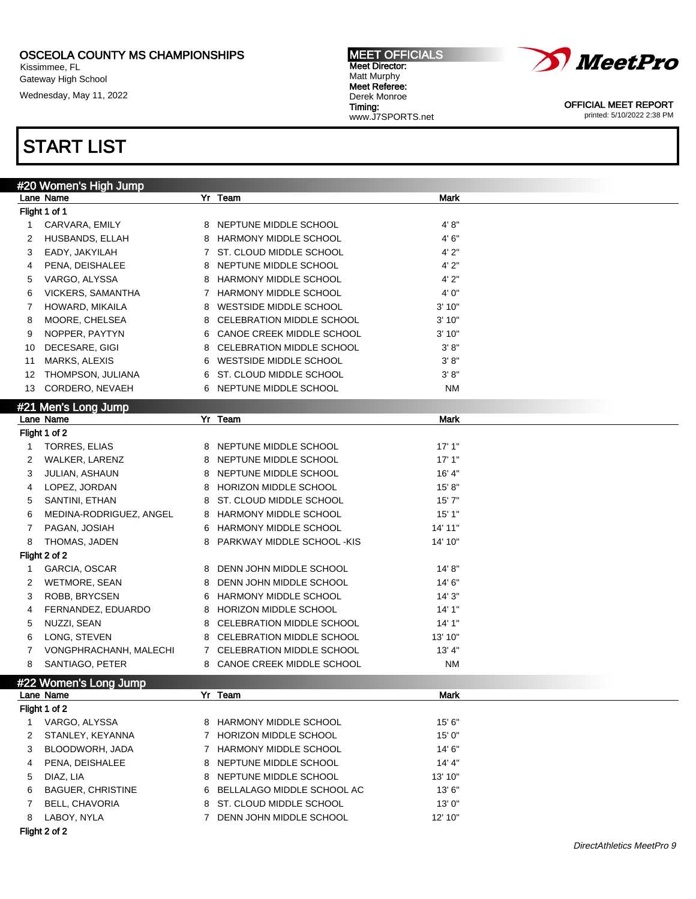Kissimmee, FL Gateway High School Wednesday, May 11, 2022

## START LIST

|    | #20 Women's High Jump    |              |                             |           |  |
|----|--------------------------|--------------|-----------------------------|-----------|--|
|    | Lane Name                |              | Yr Team                     | Mark      |  |
|    | Flight 1 of 1            |              |                             |           |  |
| 1  | CARVARA, EMILY           |              | 8 NEPTUNE MIDDLE SCHOOL     | 4' 8"     |  |
| 2  | HUSBANDS, ELLAH          |              | 8 HARMONY MIDDLE SCHOOL     | 4'6''     |  |
| 3  | EADY, JAKYILAH           | $\mathbf{7}$ | ST. CLOUD MIDDLE SCHOOL     | 4'2"      |  |
| 4  | PENA, DEISHALEE          | 8            | NEPTUNE MIDDLE SCHOOL       | 4'2"      |  |
| 5  | VARGO, ALYSSA            | 8            | HARMONY MIDDLE SCHOOL       | 4'2"      |  |
| 6  | VICKERS, SAMANTHA        | $\mathbf{7}$ | HARMONY MIDDLE SCHOOL       | 4' 0"     |  |
| 7  | HOWARD, MIKAILA          | 8            | WESTSIDE MIDDLE SCHOOL      | 3'10"     |  |
| 8  | MOORE, CHELSEA           | 8            | CELEBRATION MIDDLE SCHOOL   | 3'10"     |  |
| 9  | NOPPER, PAYTYN           |              | 6 CANOE CREEK MIDDLE SCHOOL | 3'10"     |  |
| 10 | DECESARE, GIGI           | 8            | CELEBRATION MIDDLE SCHOOL   | 3' 8''    |  |
| 11 | MARKS, ALEXIS            | 6            | WESTSIDE MIDDLE SCHOOL      | 3' 8''    |  |
| 12 | THOMPSON, JULIANA        | 6            | ST. CLOUD MIDDLE SCHOOL     | 3' 8''    |  |
| 13 | CORDERO, NEVAEH          |              | 6 NEPTUNE MIDDLE SCHOOL     | NM        |  |
|    | #21 Men's Long Jump      |              |                             |           |  |
|    | Lane Name                |              | Yr Team                     | Mark      |  |
|    | Flight 1 of 2            |              |                             |           |  |
| 1  | <b>TORRES, ELIAS</b>     |              | 8 NEPTUNE MIDDLE SCHOOL     | 17'1"     |  |
| 2  | WALKER, LARENZ           | 8            | NEPTUNE MIDDLE SCHOOL       | 17'1"     |  |
| 3  | JULIAN, ASHAUN           | 8            | NEPTUNE MIDDLE SCHOOL       | 16' 4"    |  |
| 4  | LOPEZ, JORDAN            | 8            | HORIZON MIDDLE SCHOOL       | 15' 8''   |  |
| 5  | SANTINI, ETHAN           | 8            | ST. CLOUD MIDDLE SCHOOL     | 15'7''    |  |
| 6  | MEDINA-RODRIGUEZ, ANGEL  |              | 8 HARMONY MIDDLE SCHOOL     | 15'1"     |  |
| 7  | PAGAN, JOSIAH            |              | 6 HARMONY MIDDLE SCHOOL     | 14' 11"   |  |
| 8  | THOMAS, JADEN            | 8            | PARKWAY MIDDLE SCHOOL -KIS  | 14' 10"   |  |
|    | Flight 2 of 2            |              |                             |           |  |
| 1  | GARCIA, OSCAR            | 8            | DENN JOHN MIDDLE SCHOOL     | 14' 8''   |  |
| 2  | WETMORE, SEAN            | 8            | DENN JOHN MIDDLE SCHOOL     | 14' 6"    |  |
| 3  | ROBB, BRYCSEN            | 6            | HARMONY MIDDLE SCHOOL       | 14'3''    |  |
| 4  | FERNANDEZ, EDUARDO       | 8            | HORIZON MIDDLE SCHOOL       | 14'1''    |  |
| 5  | NUZZI, SEAN              | 8            | CELEBRATION MIDDLE SCHOOL   | 14' 1"    |  |
| 6  | LONG, STEVEN             | 8            | CELEBRATION MIDDLE SCHOOL   | 13' 10"   |  |
| 7  | VONGPHRACHANH, MALECHI   |              | 7 CELEBRATION MIDDLE SCHOOL | 13' 4"    |  |
| 8  | SANTIAGO, PETER          |              | 8 CANOE CREEK MIDDLE SCHOOL | <b>NM</b> |  |
|    | #22 Women's Long Jump    |              |                             |           |  |
|    | Lane Name                |              | Yr Team                     | Mark      |  |
|    | Flight 1 of 2            |              |                             |           |  |
| 1  | VARGO, ALYSSA            |              | 8 HARMONY MIDDLE SCHOOL     | 15' 6"    |  |
| 2  | STANLEY, KEYANNA         | 7            | HORIZON MIDDLE SCHOOL       | 15'0''    |  |
| 3  | BLOODWORH, JADA          | 7            | HARMONY MIDDLE SCHOOL       | 14' 6"    |  |
| 4  | PENA, DEISHALEE          | 8            | NEPTUNE MIDDLE SCHOOL       | 14' 4"    |  |
| 5  | DIAZ, LIA                | 8            | NEPTUNE MIDDLE SCHOOL       | 13' 10"   |  |
| 6  | <b>BAGUER, CHRISTINE</b> | 6            | BELLALAGO MIDDLE SCHOOL AC  | 13'6''    |  |
| 7  | BELL, CHAVORIA           | 8            | ST. CLOUD MIDDLE SCHOOL     | 13'0''    |  |
| 8  | LABOY, NYLA              | $7^{\circ}$  | DENN JOHN MIDDLE SCHOOL     | 12' 10"   |  |

Flight 2 of 2



Meet Director: Matt Murphy Meet Referee: Derek Monroe Timing: www.J7SPORTS.net

MEET OFFICIALS

OFFICIAL MEET REPORT printed: 5/10/2022 2:38 PM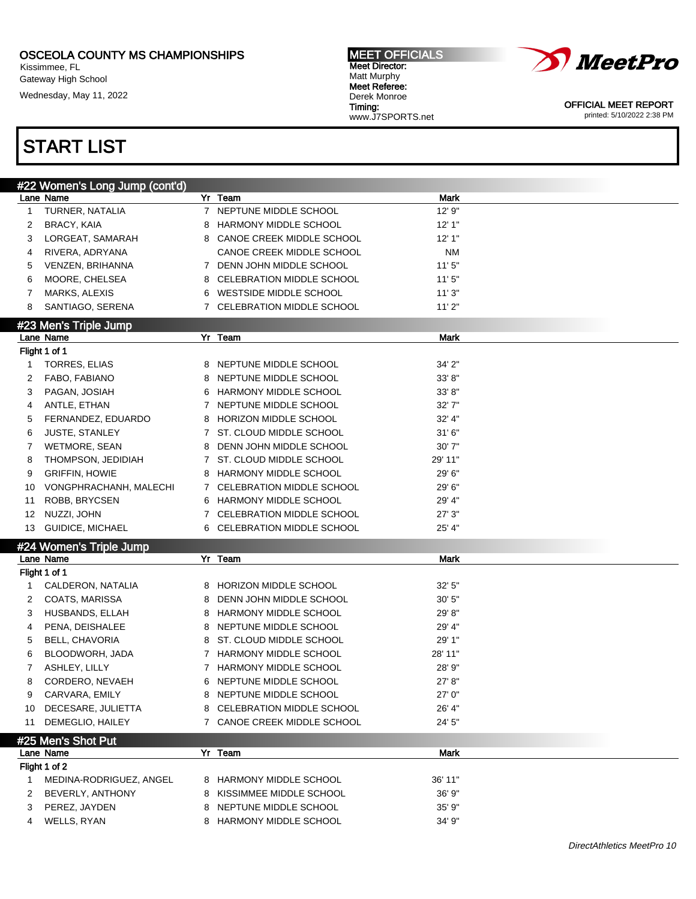Kissimmee, FL Gateway High School

Wednesday, May 11, 2022

#### MEET OFFICIALS Meet Director: Matt Murphy Meet Referee: Derek Monroe Timing: www.J7SPORTS.net



OFFICIAL MEET REPORT printed: 5/10/2022 2:38 PM

|                  | #22 Women's Long Jump (cont'd)     |   |                                                          |         |
|------------------|------------------------------------|---|----------------------------------------------------------|---------|
|                  | Lane Name                          |   | $Yr$ Team                                                | Mark    |
| $\mathbf{1}$     | TURNER, NATALIA                    |   | 7 NEPTUNE MIDDLE SCHOOL                                  | 12' 9"  |
| 2                | <b>BRACY, KAIA</b>                 | 8 | <b>HARMONY MIDDLE SCHOOL</b>                             | 12'1"   |
| 3                | LORGEAT, SAMARAH                   |   | 8 CANOE CREEK MIDDLE SCHOOL                              | 12'1"   |
| 4                | RIVERA, ADRYANA                    |   | CANOE CREEK MIDDLE SCHOOL                                | ΝM      |
| 5                | VENZEN, BRIHANNA                   |   | 7 DENN JOHN MIDDLE SCHOOL                                | 11'5''  |
| 6                | MOORE, CHELSEA                     |   | 8 CELEBRATION MIDDLE SCHOOL                              | 11'5''  |
| 7                | MARKS, ALEXIS                      |   | 6 WESTSIDE MIDDLE SCHOOL                                 | 11'3"   |
| 8                | SANTIAGO, SERENA                   |   | 7 CELEBRATION MIDDLE SCHOOL                              | 11'2"   |
|                  |                                    |   |                                                          |         |
|                  | #23 Men's Triple Jump<br>Lane Name |   | Yr Team                                                  | Mark    |
|                  | Flight 1 of 1                      |   |                                                          |         |
| 1                | <b>TORRES, ELIAS</b>               |   | 8 NEPTUNE MIDDLE SCHOOL                                  | 34' 2"  |
|                  |                                    |   |                                                          |         |
| 2                | FABO, FABIANO                      |   | 8 NEPTUNE MIDDLE SCHOOL                                  | 33'8"   |
| 3                | PAGAN, JOSIAH                      |   | 6 HARMONY MIDDLE SCHOOL                                  | 33'8"   |
| 4                | ANTLE, ETHAN                       |   | 7 NEPTUNE MIDDLE SCHOOL                                  | 32' 7"  |
| 5                | FERNANDEZ, EDUARDO                 | 8 | HORIZON MIDDLE SCHOOL                                    | 32' 4"  |
| 6                | JUSTE, STANLEY                     |   | 7 ST. CLOUD MIDDLE SCHOOL                                | 31'6''  |
| 7                | <b>WETMORE, SEAN</b>               | 8 | DENN JOHN MIDDLE SCHOOL                                  | 30' 7"  |
| 8                | THOMPSON, JEDIDIAH                 |   | 7 ST. CLOUD MIDDLE SCHOOL                                | 29' 11" |
| 9                | <b>GRIFFIN, HOWIE</b>              | 8 | HARMONY MIDDLE SCHOOL                                    | 29' 6"  |
| 10               | VONGPHRACHANH, MALECHI             |   | 7 CELEBRATION MIDDLE SCHOOL                              | 29' 6"  |
| 11               | <b>ROBB, BRYCSEN</b>               |   | 6 HARMONY MIDDLE SCHOOL                                  | 29' 4"  |
| 12 <sup>12</sup> | NUZZI, JOHN                        |   | 7 CELEBRATION MIDDLE SCHOOL                              | 27'3''  |
|                  | 13 GUIDICE, MICHAEL                |   | 6 CELEBRATION MIDDLE SCHOOL                              | 25' 4"  |
|                  | #24 Women's Triple Jump            |   |                                                          |         |
|                  | Lane Name                          |   | Yr Team                                                  | Mark    |
|                  | Flight 1 of 1                      |   |                                                          |         |
| 1                | CALDERON, NATALIA                  | 8 | HORIZON MIDDLE SCHOOL                                    | 32' 5"  |
| 2                | COATS, MARISSA                     | 8 | DENN JOHN MIDDLE SCHOOL                                  | 30'5''  |
| 3                | HUSBANDS, ELLAH                    | 8 | HARMONY MIDDLE SCHOOL                                    | 29' 8"  |
| 4                | PENA, DEISHALEE                    | 8 | NEPTUNE MIDDLE SCHOOL                                    | 29' 4"  |
| 5                | <b>BELL, CHAVORIA</b>              | 8 | ST. CLOUD MIDDLE SCHOOL                                  | 29' 1"  |
| 6                | BLOODWORH, JADA                    |   | 7 HARMONY MIDDLE SCHOOL                                  | 28' 11" |
| 7                | ASHLEY, LILLY                      |   | 7 HARMONY MIDDLE SCHOOL                                  | 28' 9"  |
| 8                | CORDERO, NEVAEH                    |   | 6 NEPTUNE MIDDLE SCHOOL                                  | 27' 8"  |
|                  | CARVARA, EMILY                     |   | NEPTUNE MIDDLE SCHOOL                                    | 27' 0"  |
| 9                |                                    | 8 |                                                          |         |
| 10               | DECESARE, JULIETTA                 | 8 | CELEBRATION MIDDLE SCHOOL<br>7 CANOE CREEK MIDDLE SCHOOL | 26' 4"  |
| 11               | DEMEGLIO, HAILEY                   |   |                                                          | 24' 5"  |
|                  | #25 Men's Shot Put                 |   |                                                          |         |
|                  | Lane Name                          |   | Yr Team                                                  | Mark    |
|                  | Flight 1 of 2                      |   |                                                          |         |
| 1                | MEDINA-RODRIGUEZ, ANGEL            |   | 8 HARMONY MIDDLE SCHOOL                                  | 36' 11" |
| 2                | BEVERLY, ANTHONY                   | 8 | KISSIMMEE MIDDLE SCHOOL                                  | 36' 9"  |
|                  |                                    |   |                                                          |         |
| 3                | PEREZ, JAYDEN                      |   | 8 NEPTUNE MIDDLE SCHOOL                                  | 35' 9"  |
| 4                | WELLS, RYAN                        |   | 8 HARMONY MIDDLE SCHOOL                                  | 34' 9"  |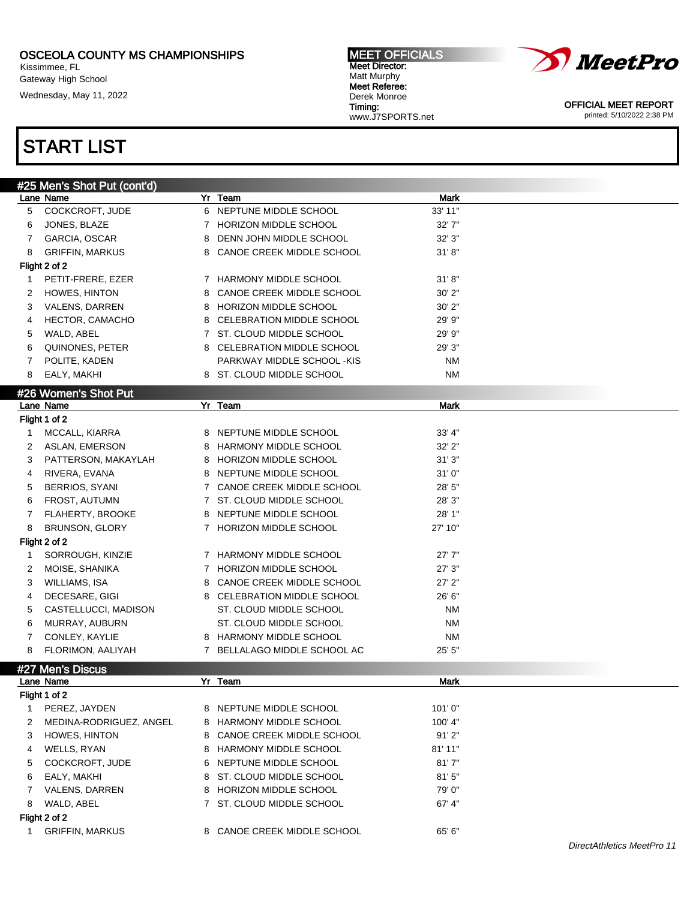Kissimmee, FL Gateway High School

Wednesday, May 11, 2022

#### MEET OFFICIALS Meet Director: Matt Murphy Meet Referee: Derek Monroe Timing: www.J7SPORTS.net



OFFICIAL MEET REPORT printed: 5/10/2022 2:38 PM

| #25 Men's Shot Put (cont'd) |                         |   |                                  |             |  |  |  |  |
|-----------------------------|-------------------------|---|----------------------------------|-------------|--|--|--|--|
|                             | Lane Name               |   | Yr Team                          | <b>Mark</b> |  |  |  |  |
| 5                           | COCKCROFT, JUDE         | 6 | NEPTUNE MIDDLE SCHOOL            | 33' 11"     |  |  |  |  |
| 6                           | JONES, BLAZE            |   | 7 HORIZON MIDDLE SCHOOL          | 32'7''      |  |  |  |  |
| 7                           | GARCIA, OSCAR           | 8 | DENN JOHN MIDDLE SCHOOL          | 32'3''      |  |  |  |  |
| 8                           | <b>GRIFFIN, MARKUS</b>  | 8 | CANOE CREEK MIDDLE SCHOOL        | 31' 8''     |  |  |  |  |
|                             | Flight 2 of 2           |   |                                  |             |  |  |  |  |
| 1                           | PETIT-FRERE, EZER       |   | 7 HARMONY MIDDLE SCHOOL          | 31' 8''     |  |  |  |  |
| 2                           | <b>HOWES, HINTON</b>    | 8 | CANOE CREEK MIDDLE SCHOOL        | $30'$ $2"$  |  |  |  |  |
| 3                           | <b>VALENS, DARREN</b>   | 8 | HORIZON MIDDLE SCHOOL            | $30'$ $2"$  |  |  |  |  |
| 4                           | HECTOR, CAMACHO         | 8 | <b>CELEBRATION MIDDLE SCHOOL</b> | 29' 9"      |  |  |  |  |
| 5                           | WALD, ABEL              |   | 7 ST. CLOUD MIDDLE SCHOOL        | 29' 9"      |  |  |  |  |
| 6                           | QUINONES, PETER         |   | 8 CELEBRATION MIDDLE SCHOOL      | 29'3''      |  |  |  |  |
| 7                           | POLITE, KADEN           |   | PARKWAY MIDDLE SCHOOL -KIS       | <b>NM</b>   |  |  |  |  |
| 8                           | EALY, MAKHI             |   | 8 ST. CLOUD MIDDLE SCHOOL        | <b>NM</b>   |  |  |  |  |
|                             | #26 Women's Shot Put    |   |                                  |             |  |  |  |  |
|                             | Lane Name               |   | Yr Team                          | Mark        |  |  |  |  |
|                             | Flight 1 of 2           |   |                                  |             |  |  |  |  |
| 1                           | MCCALL, KIARRA          |   | 8 NEPTUNE MIDDLE SCHOOL          | 33' 4"      |  |  |  |  |
| 2                           | ASLAN, EMERSON          | 8 | HARMONY MIDDLE SCHOOL            | $32'$ $2"$  |  |  |  |  |
| 3                           |                         |   | 8 HORIZON MIDDLE SCHOOL          |             |  |  |  |  |
|                             | PATTERSON, MAKAYLAH     |   | 8 NEPTUNE MIDDLE SCHOOL          | 31'3''      |  |  |  |  |
| 4                           | RIVERA, EVANA           |   |                                  | 31'0''      |  |  |  |  |
| 5                           | BERRIOS, SYANI          |   | 7 CANOE CREEK MIDDLE SCHOOL      | 28'5''      |  |  |  |  |
| 6                           | <b>FROST, AUTUMN</b>    |   | 7 ST. CLOUD MIDDLE SCHOOL        | 28'3''      |  |  |  |  |
| 7                           | <b>FLAHERTY, BROOKE</b> |   | 8 NEPTUNE MIDDLE SCHOOL          | 28' 1"      |  |  |  |  |
| 8                           | BRUNSON, GLORY          |   | 7 HORIZON MIDDLE SCHOOL          | 27' 10"     |  |  |  |  |
|                             | Flight 2 of 2           |   |                                  |             |  |  |  |  |
| 1                           | SORROUGH, KINZIE        |   | 7 HARMONY MIDDLE SCHOOL          | 27'7''      |  |  |  |  |
| 2                           | MOISE, SHANIKA          |   | 7 HORIZON MIDDLE SCHOOL          | 27'3''      |  |  |  |  |
| 3                           | WILLIAMS, ISA           |   | 8 CANOE CREEK MIDDLE SCHOOL      | $27'$ $2"$  |  |  |  |  |
| 4                           | DECESARE, GIGI          |   | 8 CELEBRATION MIDDLE SCHOOL      | 26' 6"      |  |  |  |  |
| 5                           | CASTELLUCCI, MADISON    |   | ST. CLOUD MIDDLE SCHOOL          | NΜ          |  |  |  |  |
| 6                           | MURRAY, AUBURN          |   | ST. CLOUD MIDDLE SCHOOL          | ΝM          |  |  |  |  |
| 7                           | CONLEY, KAYLIE          |   | 8 HARMONY MIDDLE SCHOOL          | NΜ          |  |  |  |  |
| 8                           | FLORIMON, AALIYAH       |   | 7 BELLALAGO MIDDLE SCHOOL AC     | 25' 5"      |  |  |  |  |
|                             | #27 Men's Discus        |   |                                  |             |  |  |  |  |
|                             | Lane Name               |   | Yr Team                          | Mark        |  |  |  |  |
|                             | Flight 1 of 2           |   |                                  |             |  |  |  |  |
| 1                           | PEREZ, JAYDEN           |   | 8 NEPTUNE MIDDLE SCHOOL          | 101'0''     |  |  |  |  |
| 2                           | MEDINA-RODRIGUEZ, ANGEL |   | 8 HARMONY MIDDLE SCHOOL          | 100' 4"     |  |  |  |  |
| 3                           | <b>HOWES, HINTON</b>    |   | 8 CANOE CREEK MIDDLE SCHOOL      | 91'2"       |  |  |  |  |
| 4                           | WELLS, RYAN             | 8 | HARMONY MIDDLE SCHOOL            | 81' 11"     |  |  |  |  |
| 5                           | COCKCROFT, JUDE         | 6 | NEPTUNE MIDDLE SCHOOL            | 81'7''      |  |  |  |  |
| 6                           | EALY, MAKHI             | 8 | ST. CLOUD MIDDLE SCHOOL          | 81'5''      |  |  |  |  |
| 7                           | VALENS, DARREN          | 8 | HORIZON MIDDLE SCHOOL            | 79' 0"      |  |  |  |  |
| 8                           | WALD, ABEL              |   | 7 ST. CLOUD MIDDLE SCHOOL        | 67' 4"      |  |  |  |  |
| Flight 2 of 2               |                         |   |                                  |             |  |  |  |  |
| 1                           | <b>GRIFFIN, MARKUS</b>  |   | 8 CANOE CREEK MIDDLE SCHOOL      | 65' 6"      |  |  |  |  |
|                             |                         |   |                                  |             |  |  |  |  |